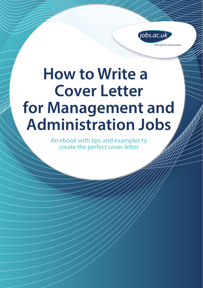

Great jobs for bright people

# **How to Write a Cover Letter for Management and Administration Jobs**

An ebook with tips and examples to create the perfect cover letter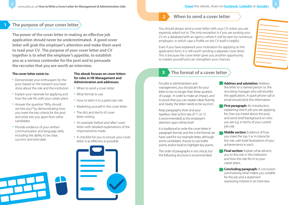# **1 The purpose of your cover letter**

**The power of the cover letter in making an effective job application should never be underestimated. A good cover letter will grab the employer's attention and make them want to read your CV. The purpose of your cover letter and CV together is to whet the employer's appetite, to establish you as a serious contender for the post and to persuade the recruiter that you are worth an interview.**

#### **The cover letter exists to:**

- Demonstrate your enthusiasm for the post, based on the research you have done about the role and the institution
- Explain your rationale for applying and how the role fits with your career plans
- Answer the question "Why should we hire you?" by demonstrating how you meet the key criteria for the post and what sets you apart from other candidates
- Provide evidence of your written communication and language skills, including the ability to be clear, succinct and articulate.

#### **This ebook focuses on cover letters for roles in HE Management and Administration and addresses:**

- When to send a cover letter
- What format to use
- How to tailor it to a particular role
- Marketing yourself in the cover letter
- The do's and don'ts of cover letter writing
- An example 'before' and 'after' cover letter with detailed explanations of the improvements made
- A checklist for you to ensure your cover letter is as effective as possible.



## **When to send a cover letter**

**2**

You should always send a cover letter with your CV unless you are expressly asked not to. The only exception is if you are posting your CV on a database/with an agency where it will be seen by numerous employers, in which case a Profile on the CV itself is helpful.

Even if you have explained your motivation for applying on the application form, it is still worth sending a separate cover letter. This is because the cover letter gives you another opportunity to market yourself and can strengthen your chances.

# **3 The format of a cover letter**

For jobs in administration and management, you should aim for your letter to be no longer than three quarters of a page. In order to make an impact, and to prove that you can explain ideas fluently and clearly, the letter needs to be succinct.

Keep paragraphs short and your typeface clear (a font size of 11 or 12 is recommended) as the employer's attention span will be brief.

It is traditional to write the cover letter in paragraph format, and this is the format we have used for our example letter, although some candidates choose to use bullet points and/or bold to highlight key points.

The order of paragraphs is not critical, but the following structure is recommended:

**Address and salutation: Address** the letter to a named person i.e. the recruiting manager who will shortlist the applications. A quick phone call or email should elicit this information.

- **First paragraph:** An introduction, explaining which job you are applying for, how you heard about the post, and some brief background on who you are e.g. in terms of your current job role.
- **Middle section:** Evidence of how you meet the top 3 or 4 criteria for the role, with brief illustrations of your achievements in each.
- **Final section:** Explain what attracts you to this role in this institution and how the role fits in to your career plans.
- **Concluding paragraph:** A conclusion summarising what makes you suitable for the job and a statement expressing interest in an interview.

**Tweet this ebook, share on Facebook, LinkedIn or Google+**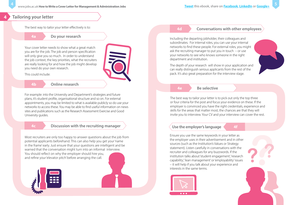### **4 Tailoring your letter**

The best way to tailor your letter effectively is to:

**4a Do your research** 

Your cover letter needs to show what a great match you are for the job. The job and person specification will only give you so much. In order to understand the job context, the key priorities, what the recruiters are really looking for and how the job might develop you need do your own research.

This could include:

#### **4b Online research**

For example: into the University and Department's strategies and future plans, it's student profile, organisational structure and so on. For external appointments, you may be limited to what is available publicly so do use your networks to access these. You may be able to find useful information on news sites and publications such as the Research Assessment Exercise and Good University guides.

#### **4c Discussion with the recruiting manager**

Most recruiters are only too happy to answer questions about the job from potential applicants beforehand. This can also help you get your 'name in the frame' early. Just ensure that your questions are intelligent and be warned that the conversation might turn into an informal interview. You should reflect on why the employer should hire you, and refine your 'elevator pitch' before arranging the call.



#### **4d Conversations with other employees**

Including the departing jobholder, their colleagues and subordinates. For internal roles, you can use your internal networks to find these people. For external roles, you might ask the recruiting manager to put you in touch – or use your networks to see who knows someone in the right department and institution.

The depth of your research will show in your application and can really distinguish serious applicants from the rest of the pack. It's also great preparation for the interview stage.

#### **4e Be selective**

The best way to tailor your letter is to pick out only the top three or four criteria for the post and focus your evidence on these. If the employer is convinced you have the right credentials, experience and skills for the areas that matter most, the chances are that they will invite you to interview. Your CV and your interview can cover the rest.

#### **Use the employer's language 4f**

Ensure you use the same keywords in your letter as the employer uses in their advertisement and in other sources (such as the Institution's Values or Strategy statement). Listen carefully in conversations with the recruiter and colleagues for any buzzwords. If the institution talks about 'student engagement', 'research capability', 'lean management' or 'employability' issues – it will help if you talk about your experience and interests in the same terms.

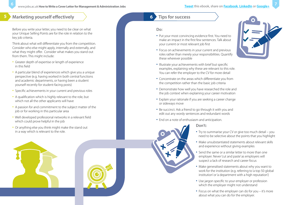# **5 Marketing yourself effectively Times and Solution 2 <b>Times Times Times Times Times Times Times Times Times Times Times Times Times Times Times Times Times Times Times Times Ti**

Before you write your letter, you need to be clear on what your Unique Selling Points are for the role in relation to the key job criteria.

Think about what will differentiate you from the competition. Consider who else might apply, internally and externally, and what they might offer. Consider what makes you stand out from them. This might include:

- Greater depth of expertise or length of experience in this field
- A particular blend of experiences which give you a unique perspective (e.g. having worked in both central functions and academic departments, or having been a student yourself recently for student-facing posts)
- Specific achievements in your current and previous roles
- A qualification which is highly relevant to the role, but which not all the other applicants will have
- A passion for and commitment to the subject matter of the job or for working in this particular area
- Well developed professional networks in a relevant field which could prove helpful in the job
- Or anything else you think might make the stand out in a way which is relevant to the role.





# **6**

### **Do:**

- Put your most convincing evidence first. You need to make an impact in the first few sentences. Talk about your current or most relevant job first
- Focus on achievements in your current and previous roles rather than merely your responsibilities. Quantify these wherever possible
- Illustrate your achievements with brief but specific examples, explaining why these are relevant to this role. You can refer the employer to the CV for more detail
- Concentrate on the areas which differentiate you from the competition rather than the basic job criteria
- Demonstrate how well you have researched the role and the job context when explaining your career motivation
- Explain your rationale if you are seeking a career change or sideways move
- Be succinct. Ask a friend to go through it with you and edit out any wordy sentences and redundant words
- End on a note of enthusiasm and anticipation.

### **Don't:**

- Try to summarise your CV or give too much detail you need to be selective about the points that you highlight
- Make unsubstantiated statements about relevant skills and experience without giving examples
- Send the same or a similar letter to more than one employer. Never 'cut and paste' as employers will suspect a lack of research and career focus
- Make generalised statements about why you want to work for the institution (e.g. referring to 'a top 50 global institution' or 'a department with a high reputation')
- Use jargon specific to your employer or profession which the employer might not understand
- Focus on what the employer can do for you it's more about what you can do for the employer.

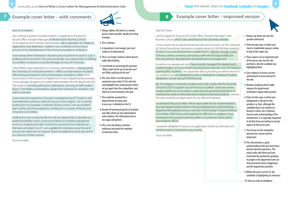# **7 Example cover letter – with comments**

#### Dear Sir or Madam

I am writing to express my deep interest in applying for the post of Faculty Office Assistant Manager at Westhampton Business School. As an experienced University Administrator with a reputation for diligence, organisation and dedication, I believe I can contribute a tremendous amount to the development of this renowned academic institution.

I have always been interested in business and would love to work in such a professional environment. This post would take me a step further to fulfilling my ambition to become a Faculty Manager at a top 50 University.

I have fifteen years' experience in University administration, having joined the University of Central Devonshire in 1998 as an Examinations Assistant. After being promoted to Senior Examinations Assistant in 2004 I then moved over to the Economics Department to be a departmental secretary. I now manager all aspects of student administration for the department for 500 students including admissions, attendance, servicing of staff student ... liaison committees, examinations, assignment submissions, reception and staff recruitment

I have extensive experience of project management and IT Systems and have attended numerous internal courses on this subject. I am currently studying for my European Computer Driving Licence. I am an excellent team worker and have experience of sitting on a number of faculty and University Committees.

I believe this role would provide me with an opportunity to develop my leadership abilities and to continue to deliver an excellent operational service to students and staff I would be honoured to be invited for an interview and attach my CV. I am available for interview at any time and can provide references on request. Please do telephone me at any time if you have any further queries.

Yours sincerely

- 1: Always address the letter to a named person where possible, ideally the hiring manager.
- **E.** 2: This is obvious
- 3: A reputation is not enough; you need evidence of achievement.
- 4: This is an 'empty' sentence which doesn't really add anything.
- 5: Concentrate on answering the question 'What could I do for you if you hire me?' not 'What could you do for me?'
- 6: The cover letter is not the place to summarise your entire CV. Be selective and highlight those achievements which set you apart from the competition, and which are most relevant to the post.
- $\cdot$  7: This would be assumed for a departmental secretary and, in any case, is detailed on the CV.
- 8: Beware of inserting long lists of activities and skills which are not substantiated with evidence. The information here is too vague and generic.
- 9: This is all a bit obvious and does nothing to persuade the employer to interview them.

### **8 Example cover letter – improved version**

#### Dear Mr Owen

I wish to apply for the post of Faculty Office Assistant Manager in the Business School, which I saw advertised on the University website.

In my current role as Departmental Secretary for Economics at the University ... of Central Devonshire I provide a complete service to 500 full-time students, of whom over one third are from outside the EU. I directly manage a team of three as well as numerous temporary staff with full responsibility for their recruitment, development and performance management.

1: Always say where you saw the position advertised.

As well as my operational role. I have recently managed the department's....... implementation of a new Virtual Learning Environment for over 250 Distance: Learning MSc students. I am passionate about providing excellent service to 4: Give evidence of recent concrete ourstudents and am delighted to have contributed to a National Student Satisfaction Survey rating of 92% this year.

My first degree is in Business Studies and I work closely with the Business School at UCD to support our joint honours students. Given the similar student profiles of our faculties, in particular the growing importance of meeting the needs of international and distance learning students, I believe this role would be an ideal match for my skills and interests.

I understand the post holder will be responsible for the implementation of a new departmental intranet. Having redesigned our external facing departmental website, and as a member of the Faculty IT Systems Review Committee, I feel I have some expertise to offer here. In addition I have developed strong project planning skills in my previous role as senior... examinations officer.

I would be delighted to discuss my application further at interview and I look forward to hearing from you shortly.

Yours sincerely

2: Point out any ways in which your

client or stakeholder group is similar to that of the target role.

<sup>31</sup> 3: These aspects are an important part of the person spec for this role and that is why the candidate has highlighted them.

> achievement in areas relevant to the role.

5: Mention anything which might improve the department/ institution's league table position.

6: Point out the ways in which your background is relevant to this position e.g. Here, although the candidate hasn't yet worked in a Business School, she is showing she has some understanding of the environment. It is especially important to do that if you are lacking in any key aspects of the person spec.

- 7: This focuses on the similarities between her current and the target post.
- :........ 8: This demonstrates a good understanding of the post and shows directly relevant experience. This works really well when you have researched the position by speaking to people in the department and can show you know what is happening and the department priorities.
- 9: Whilst this post is on the CV, the candidate is highlighting its relevance.

- 10: End on a note of confidence.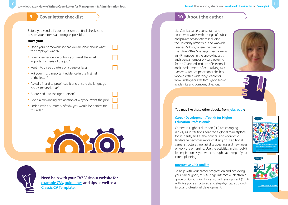# **9 Cover letter checklist**

Before you send off your letter, use our final checklist to ensure your letter is as strong as possible.

#### **Have you:**

- Done your homework so that you are clear about what the employer wants?
- Given clear evidence of how you meet the most important criteria of the job?
- Kept it to three quarters of a page or less?
- Put your most important evidence in the first half of the letter?
- Asked a friend to proof read it and ensure the language is succinct and clear?
- Addressed it to the right person?
- Given a convincing explanation of why you want the job?
- Ended with a summary of why you would be perfect for this role?





**Need help with your CV? Visit our website for [example CVs](www.jobs.ac.uk/careers-advice/cv-templates/2073/classic-chronological-cv-example/), [guidelines](http://www.jobs.ac.uk/careers-advice/cv-templates/2070/classic-cv-guidelines/) and tips as well as a Classic [CV Template](http://www.jobs.ac.uk/careers-advice/cv-templates/1529/classic-cv-template/).**

# **10 About the author**

Lisa Carr is a careers consultant and coach who works with a range of public and private organisations including the University of Warwick and Warwick Business School, where she coaches Executive MBAs. She began her career as an HR manager in the energy industry and spent a number of years lecturing for the Chartered Institute of Personnel and Development. After qualifying as a Careers Guidance practitioner she has worked with a wide range of clients from undergraduates through to senior academics and company directors.





#### You may like these other ebooks from **[jobs.ac.uk](http://jobs.ac.uk)**:

#### **[Career Development Toolkit for Higher](http://www.jobs.ac.uk/careers-advice/resources/ebooks-and-toolkits/career-development-toolkit-for-higher-education-professionals)  [Education Professionals](http://www.jobs.ac.uk/careers-advice/resources/ebooks-and-toolkits/career-development-toolkit-for-higher-education-professionals)**

Careers in Higher Education (HE) are changing rapidly as institutions adapt to a global marketplace for students, and as the political and economic landscape becomes more challenging. Traditional career structures are fast disappearing and new areas of work are emerging. Use the activities in this toolkit for inspiration as you work through each step of your career planning.

#### **[Interactive CPD Toolkit](http://www.jobs.ac.uk/careers-advice/resources/ebooks-and-toolkits/interactive-cpd-toolkit)**

To help with your career progression and achieving your career goals, this 37-page interactive electronic guide on Continuing Professional Development (CPD) will give you a structured and step-by-step approach to your professional development.